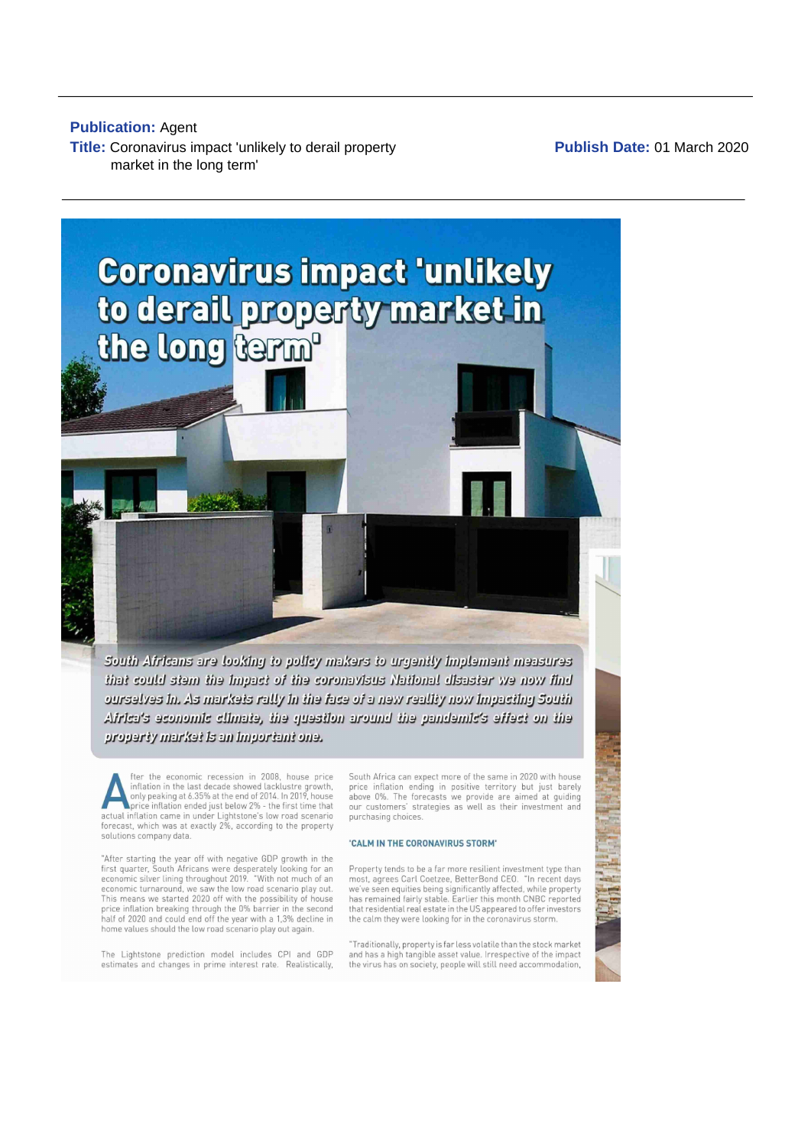# **Publication: Agent** Title: Coronavirus impact 'unlikely to derail property market in the long term'

Publish Date: 01 March 2020



ourselves in. As markets rally in the face of a new reality now impacting South Africa's aconomic climata, the quastion around the pandamic's affact on the property marked is an important one.

fter the economic recession in 2008, house price increased in the Last decade showed lacklustre growth,<br>only peaking at 6.35% at the end of 2014. In 2019, house price inflation ended just below 2% - the first time that actual inflation came in under Lightstone's low road scenario<br>forecast, which was at exactly 2%, according to the property solutions company data.

"After starting the year off with negative GDP growth in the first quarter, South Africans were desperately looking for an economic silver lining throughout 2019. "With not much of an economic turnaround, we saw the low road scenario play out.<br>This means we started 2020 off with the possibility of house price inflation breaking through the 0% barrier in the second half of 2020 and could end off the year with a 1,3% decline in home values should the low road scenario play out again.

The Lightstone prediction model includes CPI and GDP estimates and changes in prime interest rate. Realistically, South Africa can expect more of the same in 2020 with house price inflation ending in positive territory but just barely above 0%. The forecasts we provide are aimed at guiding<br>our customers' strategies as well as their investment and purchasing choices.

## 'CALM IN THE CORONAVIRUS STORM'

Property tends to be a far more resilient investment type than most, agrees Carl Coetzee, BetterBond CEO. "In recent days we've seen equities being significantly affected, while property<br>has remained fairly stable. Earlier this month CNBC reported that residential real estate in the US appeared to offer investors the calm they were looking for in the coronavirus storm.

"Traditionally, property is far less volatile than the stock market and has a high tangible asset value. Irrespective of the impact the virus has on society, people will still need accommodation,